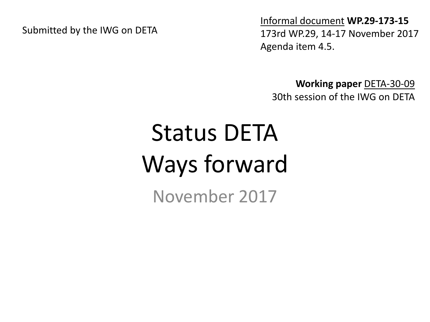Submitted by the IWG on DETA

Informal document **WP.29-173-15** 173rd WP.29, 14-17 November 2017 Agenda item 4.5.

**Working paper** DETA-30-09 30th session of the IWG on DETA

# Status DETA Ways forward

November 2017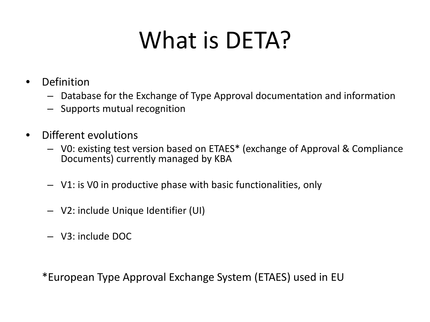### What is DETA?

- Definition
	- Database for the Exchange of Type Approval documentation and information
	- Supports mutual recognition
- Different evolutions
	- V0: existing test version based on ETAES\* (exchange of Approval & Compliance Documents) currently managed by KBA
	- V1: is V0 in productive phase with basic functionalities, only
	- V2: include Unique Identifier (UI)
	- V3: include DOC

\*European Type Approval Exchange System (ETAES) used in EU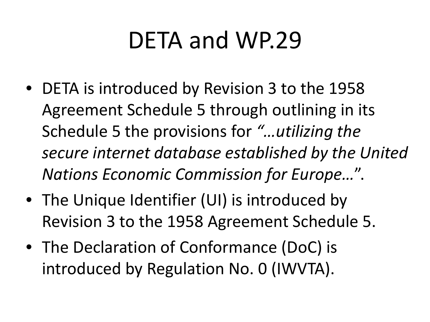#### DETA and WP.29

- DETA is introduced by Revision 3 to the 1958 Agreement Schedule 5 through outlining in its Schedule 5 the provisions for *"…utilizing the secure internet database established by the United Nations Economic Commission for Europe…*".
- The Unique Identifier (UI) is introduced by Revision 3 to the 1958 Agreement Schedule 5.
- The Declaration of Conformance (DoC) is introduced by Regulation No. 0 (IWVTA).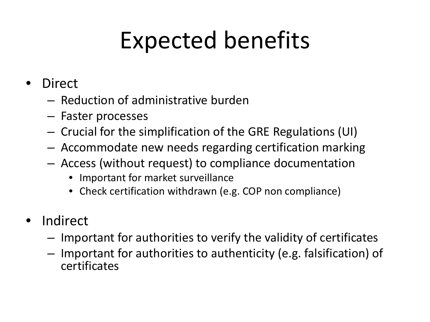# Expected benefits

- **Direct** 
	- Reduction of administrative burden
	- Faster processes
	- Crucial for the simplification of the GRE Regulations (UI)
	- Accommodate new needs regarding certification marking
	- Access (without request) to compliance documentation
		- Important for market surveillance
		- Check certification withdrawn (e.g. COP non compliance)
- Indirect
	- Important for authorities to verify the validity of certificates
	- Important for authorities to authenticity (e.g. falsification) of certificates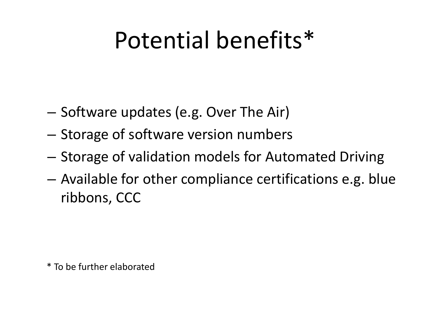#### Potential benefits\*

- Software updates (e.g. Over The Air)
- Storage of software version numbers
- Storage of validation models for Automated Driving
- Available for other compliance certifications e.g. blue ribbons, CCC

\* To be further elaborated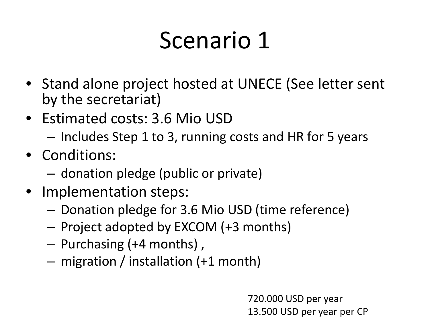### Scenario 1

- Stand alone project hosted at UNECE (See letter sent by the secretariat)
- Estimated costs: 3.6 Mio USD
	- Includes Step 1 to 3, running costs and HR for 5 years
- Conditions:
	- donation pledge (public or private)
- Implementation steps:
	- Donation pledge for 3.6 Mio USD (time reference)
	- Project adopted by EXCOM (+3 months)
	- Purchasing (+4 months) ,
	- migration / installation (+1 month)

720.000 USD per year 13.500 USD per year per CP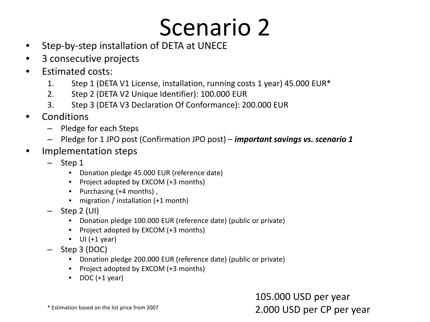#### Scenario 2

- Step-by-step installation of DETA at UNECE
- 3 consecutive projects
- Estimated costs:
	- 1. Step 1 (DETA V1 License, installation, running costs 1 year) 45.000 EUR\*
	- 2. Step 2 (DETA V2 Unique Identifier): 100.000 EUR
	- 3. Step 3 (DETA V3 Declaration Of Conformance): 200.000 EUR
- Conditions
	- Pledge for each Steps
	- Pledge for 1 JPO post (Confirmation JPO post) *important savings vs. scenario 1*
- Implementation steps
	- Step 1
		- Donation pledge 45.000 EUR (reference date)
		- Project adopted by EXCOM (+3 months)
		- Purchasing (+4 months) ,
		- migration / installation (+1 month)
	- Step 2 (UI)
		- Donation pledge 100.000 EUR (reference date) (public or private)
		- Project adopted by EXCOM (+3 months)
		- $\bullet$  UI (+1 year)
	- Step 3 (DOC)
		- Donation pledge 200.000 EUR (reference date) (public or private)
		- Project adopted by EXCOM (+3 months)
		- $\bullet$  DOC (+1 year)

105.000 USD per year 2.000 USD per CP per year

\* Estimation based on the list price from 2007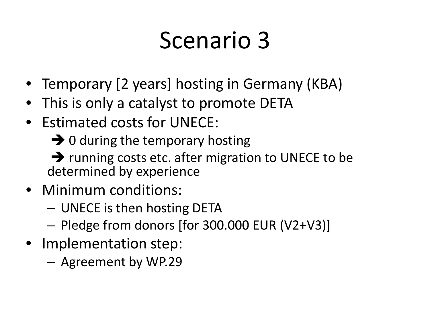#### Scenario 3

- Temporary [2 years] hosting in Germany (KBA)
- This is only a catalyst to promote DETA
- Estimated costs for UNECE:
	- $\rightarrow$  0 during the temporary hosting

 $\rightarrow$  running costs etc. after migration to UNECE to be determined by experience

- Minimum conditions:
	- UNECE is then hosting DETA
	- Pledge from donors [for 300.000 EUR (V2+V3)]
- Implementation step:
	- Agreement by WP.29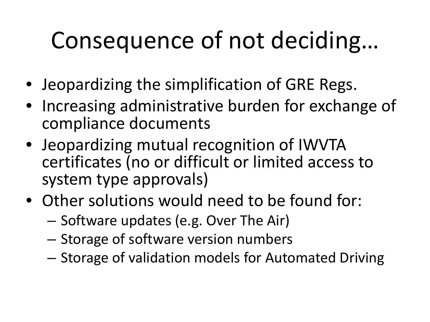# Consequence of not deciding…

- Jeopardizing the simplification of GRE Regs.
- Increasing administrative burden for exchange of compliance documents
- Jeopardizing mutual recognition of IWVTA certificates (no or difficult or limited access to system type approvals)
- Other solutions would need to be found for:
	- Software updates (e.g. Over The Air)
	- Storage of software version numbers
	- Storage of validation models for Automated Driving